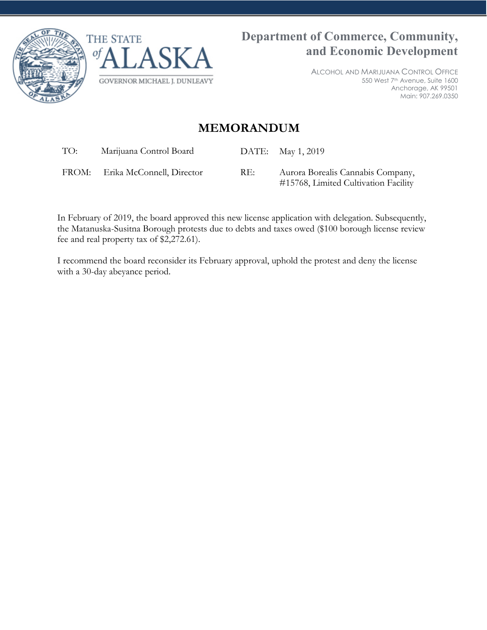



ALCOHOL AND MARIJUANA CONTROL OFFICE 550 West 7th Avenue, Suite 1600 Anchorage, AK 99501 Main: 907.269.0350

## **MEMORANDUM**

TO: Marijuana Control Board DATE: May 1, 2019

FROM: Erika McConnell, Director RE: Aurora Borealis Cannabis Company, #15768, Limited Cultivation Facility

In February of 2019, the board approved this new license application with delegation. Subsequently, the Matanuska-Susitna Borough protests due to debts and taxes owed (\$100 borough license review fee and real property tax of \$2,272.61).

I recommend the board reconsider its February approval, uphold the protest and deny the license with a 30-day abeyance period.